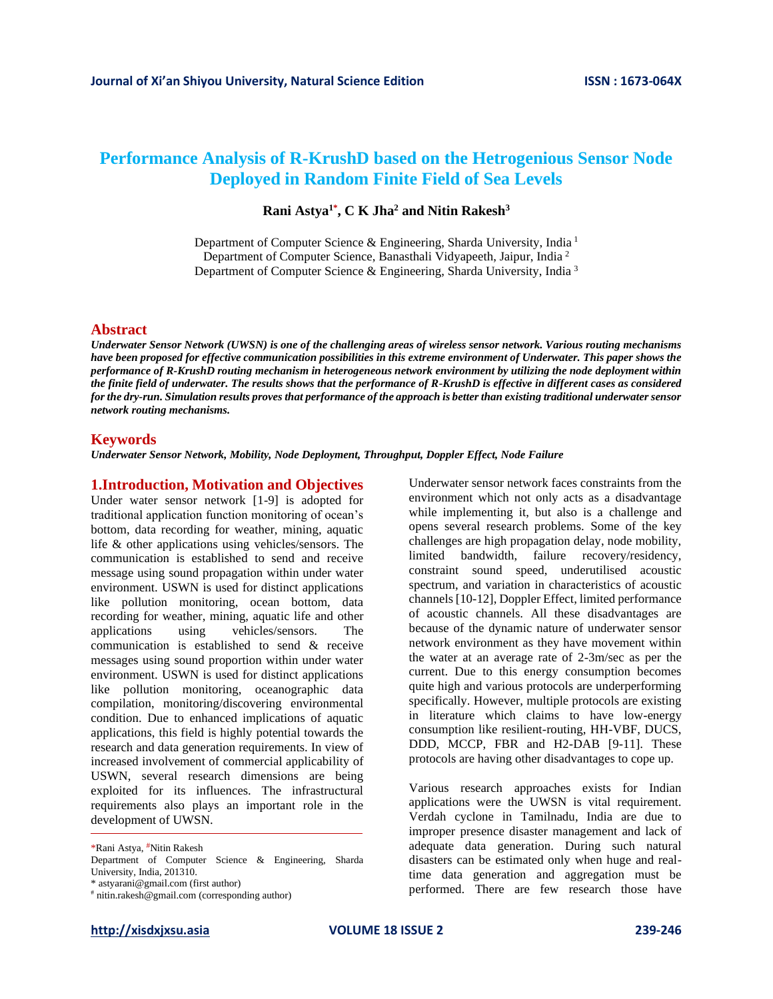# **Performance Analysis of R-KrushD based on the Hetrogenious Sensor Node Deployed in Random Finite Field of Sea Levels**

### **Rani Astya1\* , C K Jha<sup>2</sup> and Nitin Rakesh<sup>3</sup>**

Department of Computer Science & Engineering, Sharda University, India <sup>1</sup> Department of Computer Science, Banasthali Vidyapeeth, Jaipur, India<sup>2</sup> Department of Computer Science & Engineering, Sharda University, India <sup>3</sup>

#### **Abstract**

*Underwater Sensor Network (UWSN) is one of the challenging areas of wireless sensor network. Various routing mechanisms have been proposed for effective communication possibilities in this extreme environment of Underwater. This paper shows the performance of R-KrushD routing mechanism in heterogeneous network environment by utilizing the node deployment within the finite field of underwater. The results shows that the performance of R-KrushD is effective in different cases as considered for the dry-run. Simulation results proves that performance of the approach is better than existing traditional underwater sensor network routing mechanisms.* 

#### **Keywords**

*Underwater Sensor Network, Mobility, Node Deployment, Throughput, Doppler Effect, Node Failure*

### **1.Introduction, Motivation and Objectives**

Under water sensor network [1-9] is adopted for traditional application function monitoring of ocean's bottom, data recording for weather, mining, aquatic life & other applications using vehicles/sensors. The communication is established to send and receive message using sound propagation within under water environment. USWN is used for distinct applications like pollution monitoring, ocean bottom, data recording for weather, mining, aquatic life and other<br>applications using vehicles/sensors. The applications using vehicles/sensors. The communication is established to send & receive messages using sound proportion within under water environment. USWN is used for distinct applications like pollution monitoring, oceanographic data compilation, monitoring/discovering environmental condition. Due to enhanced implications of aquatic applications, this field is highly potential towards the research and data generation requirements. In view of increased involvement of commercial applicability of USWN, several research dimensions are being exploited for its influences. The infrastructural requirements also plays an important role in the development of UWSN.

# nitin.rakesh@gmail.com (corresponding author)

Underwater sensor network faces constraints from the environment which not only acts as a disadvantage while implementing it, but also is a challenge and opens several research problems. Some of the key challenges are high propagation delay, node mobility, limited bandwidth, failure recovery/residency, constraint sound speed, underutilised acoustic spectrum, and variation in characteristics of acoustic channels [10-12], Doppler Effect, limited performance of acoustic channels. All these disadvantages are because of the dynamic nature of underwater sensor network environment as they have movement within the water at an average rate of 2-3m/sec as per the current. Due to this energy consumption becomes quite high and various protocols are underperforming specifically. However, multiple protocols are existing in literature which claims to have low-energy consumption like resilient-routing, HH-VBF, DUCS, DDD, MCCP, FBR and H2-DAB [9-11]. These protocols are having other disadvantages to cope up.

Various research approaches exists for Indian applications were the UWSN is vital requirement. Verdah cyclone in Tamilnadu, India are due to improper presence disaster management and lack of adequate data generation. During such natural disasters can be estimated only when huge and realtime data generation and aggregation must be performed. There are few research those have

<sup>\*</sup>Rani Astya, #Nitin Rakesh

Department of Computer Science & Engineering, Sharda University, India, 201310.

<sup>\*</sup> astyarani@gmail.com (first author)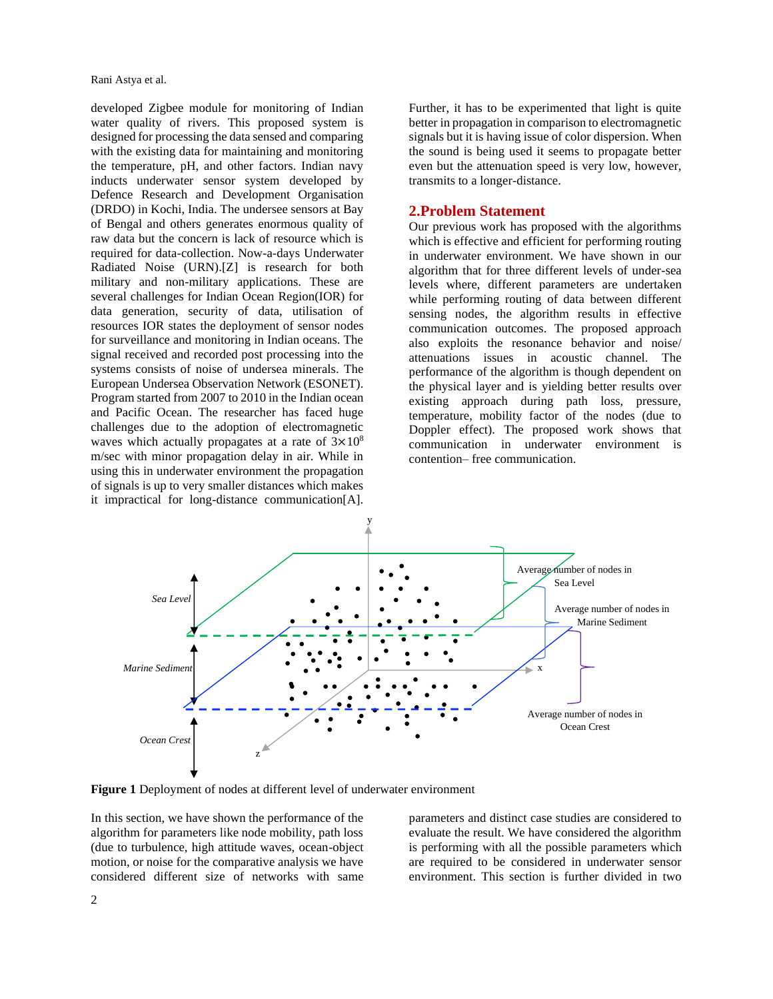Rani Astya et al.

developed Zigbee module for monitoring of Indian water quality of rivers. This proposed system is designed for processing the data sensed and comparing with the existing data for maintaining and monitoring the temperature, pH, and other factors. Indian navy inducts underwater sensor system developed by Defence Research and Development Organisation (DRDO) in Kochi, India. The undersee sensors at Bay of Bengal and others generates enormous quality of raw data but the concern is lack of resource which is required for data-collection. Now-a-days Underwater Radiated Noise (URN).[Z] is research for both military and non-military applications. These are several challenges for Indian Ocean Region(IOR) for data generation, security of data, utilisation of resources IOR states the deployment of sensor nodes for surveillance and monitoring in Indian oceans. The signal received and recorded post processing into the systems consists of noise of undersea minerals. The European Undersea Observation Network (ESONET). Program started from 2007 to 2010 in the Indian ocean and Pacific Ocean. The researcher has faced huge challenges due to the adoption of electromagnetic waves which actually propagates at a rate of  $3\times10^8$ m/sec with minor propagation delay in air. While in using this in underwater environment the propagation of signals is up to very smaller distances which makes it impractical for long-distance communication[A].

Further, it has to be experimented that light is quite better in propagation in comparison to electromagnetic signals but it is having issue of color dispersion. When the sound is being used it seems to propagate better even but the attenuation speed is very low, however, transmits to a longer-distance.

### **2.Problem Statement**

Our previous work has proposed with the algorithms which is effective and efficient for performing routing in underwater environment. We have shown in our algorithm that for three different levels of under-sea levels where, different parameters are undertaken while performing routing of data between different sensing nodes, the algorithm results in effective communication outcomes. The proposed approach also exploits the resonance behavior and noise/ attenuations issues in acoustic channel. The performance of the algorithm is though dependent on the physical layer and is yielding better results over existing approach during path loss, pressure, temperature, mobility factor of the nodes (due to Doppler effect). The proposed work shows that communication in underwater environment is contention– free communication.



**Figure 1** Deployment of nodes at different level of underwater environment

In this section, we have shown the performance of the algorithm for parameters like node mobility, path loss (due to turbulence, high attitude waves, ocean-object motion, or noise for the comparative analysis we have considered different size of networks with same

parameters and distinct case studies are considered to evaluate the result. We have considered the algorithm is performing with all the possible parameters which are required to be considered in underwater sensor environment. This section is further divided in two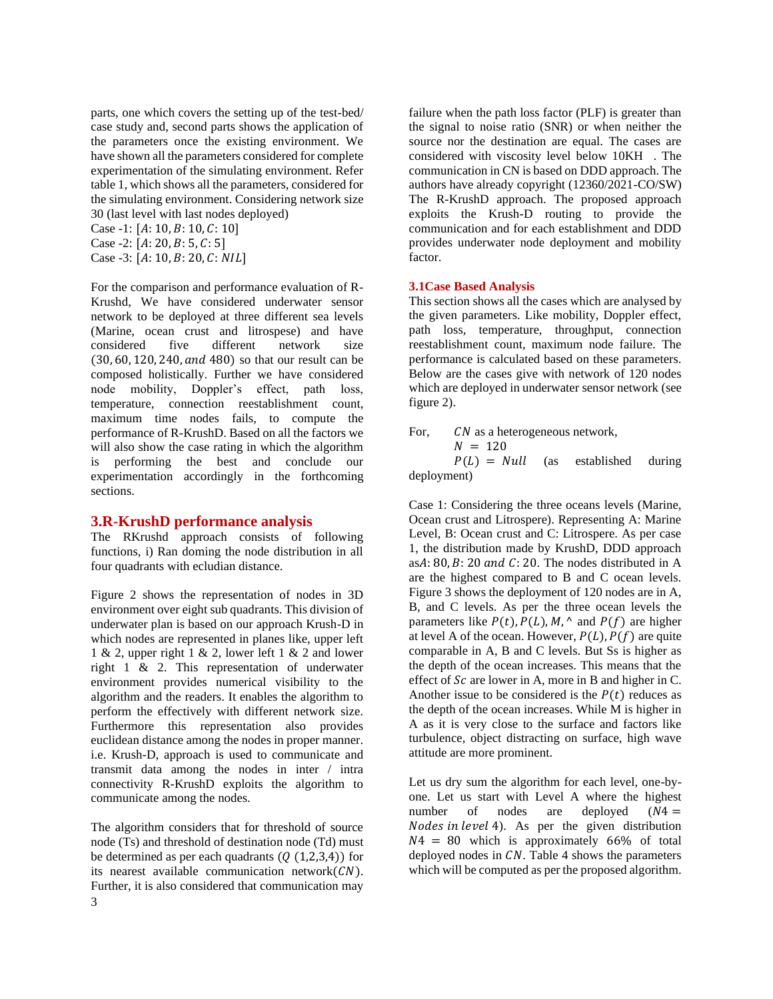parts, one which covers the setting up of the test-bed/ case study and, second parts shows the application of the parameters once the existing environment. We have shown all the parameters considered for complete experimentation of the simulating environment. Refer table 1, which shows all the parameters, considered for the simulating environment. Considering network size 30 (last level with last nodes deployed) Case -1:  $[A: 10, B: 10, C: 10]$ Case -2:  $[A: 20, B: 5, C: 5]$ 

Case -3:  $[A: 10, B: 20, C: NIL]$ 

For the comparison and performance evaluation of R-Krushd, We have considered underwater sensor network to be deployed at three different sea levels (Marine, ocean crust and litrospese) and have considered five different network size  $(30, 60, 120, 240, and 480)$  so that our result can be composed holistically. Further we have considered node mobility, Doppler's effect, path loss, temperature, connection reestablishment count, maximum time nodes fails, to compute the performance of R-KrushD. Based on all the factors we will also show the case rating in which the algorithm is performing the best and conclude our experimentation accordingly in the forthcoming sections.

### **3.R-KrushD performance analysis**

The RKrushd approach consists of following functions, i) Ran doming the node distribution in all four quadrants with ecludian distance.

Figure 2 shows the representation of nodes in 3D environment over eight sub quadrants. This division of underwater plan is based on our approach Krush-D in which nodes are represented in planes like, upper left 1 & 2, upper right 1 & 2, lower left 1 & 2 and lower right 1 & 2. This representation of underwater environment provides numerical visibility to the algorithm and the readers. It enables the algorithm to perform the effectively with different network size. Furthermore this representation also provides euclidean distance among the nodes in proper manner. i.e. Krush-D, approach is used to communicate and transmit data among the nodes in inter / intra connectivity R-KrushD exploits the algorithm to communicate among the nodes.

3 The algorithm considers that for threshold of source node (Ts) and threshold of destination node (Td) must be determined as per each quadrants  $(Q(1,2,3,4))$  for its nearest available communication network $(CN)$ . Further, it is also considered that communication may

failure when the path loss factor (PLF) is greater than the signal to noise ratio (SNR) or when neither the source nor the destination are equal. The cases are considered with viscosity level below 10KH . The communication in CN is based on DDD approach. The authors have already copyright (12360/2021-CO/SW) The R-KrushD approach. The proposed approach exploits the Krush-D routing to provide the communication and for each establishment and DDD provides underwater node deployment and mobility factor.

#### **3.1Case Based Analysis**

This section shows all the cases which are analysed by the given parameters. Like mobility, Doppler effect, path loss, temperature, throughput, connection reestablishment count, maximum node failure. The performance is calculated based on these parameters. Below are the cases give with network of 120 nodes which are deployed in underwater sensor network (see figure 2).

For, CN as a heterogeneous network,

 $N = 120$ 

 $P(L) = Null$  (as established during deployment)

Case 1: Considering the three oceans levels (Marine, Ocean crust and Litrospere). Representing A: Marine Level, B: Ocean crust and C: Litrospere. As per case 1, the distribution made by KrushD, DDD approach as $A: 80, B: 20$  and  $C: 20$ . The nodes distributed in A are the highest compared to B and C ocean levels. Figure 3 shows the deployment of 120 nodes are in A, B, and C levels. As per the three ocean levels the parameters like  $P(t)$ ,  $P(L)$ ,  $M$ ,  $\wedge$  and  $P(f)$  are higher at level A of the ocean. However,  $P(L)$ ,  $P(f)$  are quite comparable in A, B and C levels. But Ss is higher as the depth of the ocean increases. This means that the effect of  $Sc$  are lower in A, more in B and higher in C. Another issue to be considered is the  $P(t)$  reduces as the depth of the ocean increases. While M is higher in A as it is very close to the surface and factors like turbulence, object distracting on surface, high wave attitude are more prominent.

Let us dry sum the algorithm for each level, one-byone. Let us start with Level A where the highest number of nodes are deployed  $(N4 =$ Nodes in level 4). As per the given distribution  $N4 = 80$  which is approximately 66% of total deployed nodes in  $CN$ . Table 4 shows the parameters which will be computed as per the proposed algorithm.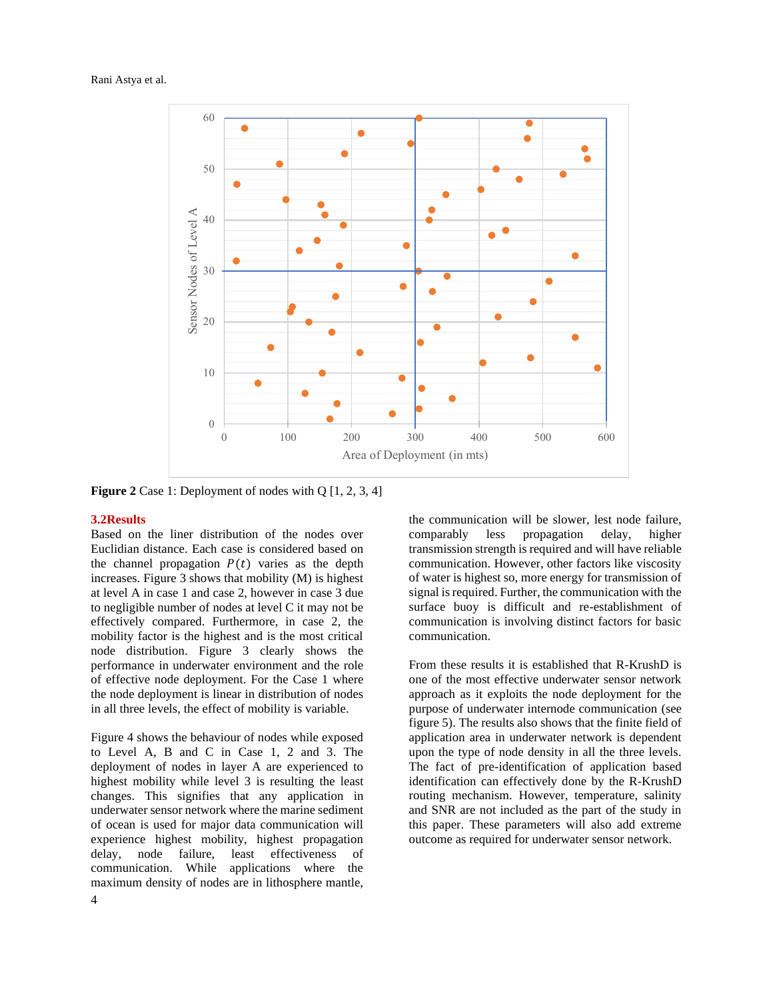#### Rani Astya et al.



**Figure 2** Case 1: Deployment of nodes with Q [1, 2, 3, 4]

#### **3.2Results**

Based on the liner distribution of the nodes over Euclidian distance. Each case is considered based on the channel propagation  $P(t)$  varies as the depth increases. Figure 3 shows that mobility (M) is highest at level A in case 1 and case 2, however in case 3 due to negligible number of nodes at level C it may not be effectively compared. Furthermore, in case 2, the mobility factor is the highest and is the most critical node distribution. Figure 3 clearly shows the performance in underwater environment and the role of effective node deployment. For the Case 1 where the node deployment is linear in distribution of nodes in all three levels, the effect of mobility is variable.

Figure 4 shows the behaviour of nodes while exposed to Level A, B and C in Case 1, 2 and 3. The deployment of nodes in layer A are experienced to highest mobility while level 3 is resulting the least changes. This signifies that any application in underwater sensor network where the marine sediment of ocean is used for major data communication will experience highest mobility, highest propagation delay, node failure, least effectiveness of communication. While applications where the maximum density of nodes are in lithosphere mantle, the communication will be slower, lest node failure, comparably less propagation delay, higher transmission strength is required and will have reliable communication. However, other factors like viscosity of water is highest so, more energy for transmission of signal is required. Further, the communication with the surface buoy is difficult and re-establishment of communication is involving distinct factors for basic communication.

From these results it is established that R-KrushD is one of the most effective underwater sensor network approach as it exploits the node deployment for the purpose of underwater internode communication (see figure 5). The results also shows that the finite field of application area in underwater network is dependent upon the type of node density in all the three levels. The fact of pre-identification of application based identification can effectively done by the R-KrushD routing mechanism. However, temperature, salinity and SNR are not included as the part of the study in this paper. These parameters will also add extreme outcome as required for underwater sensor network.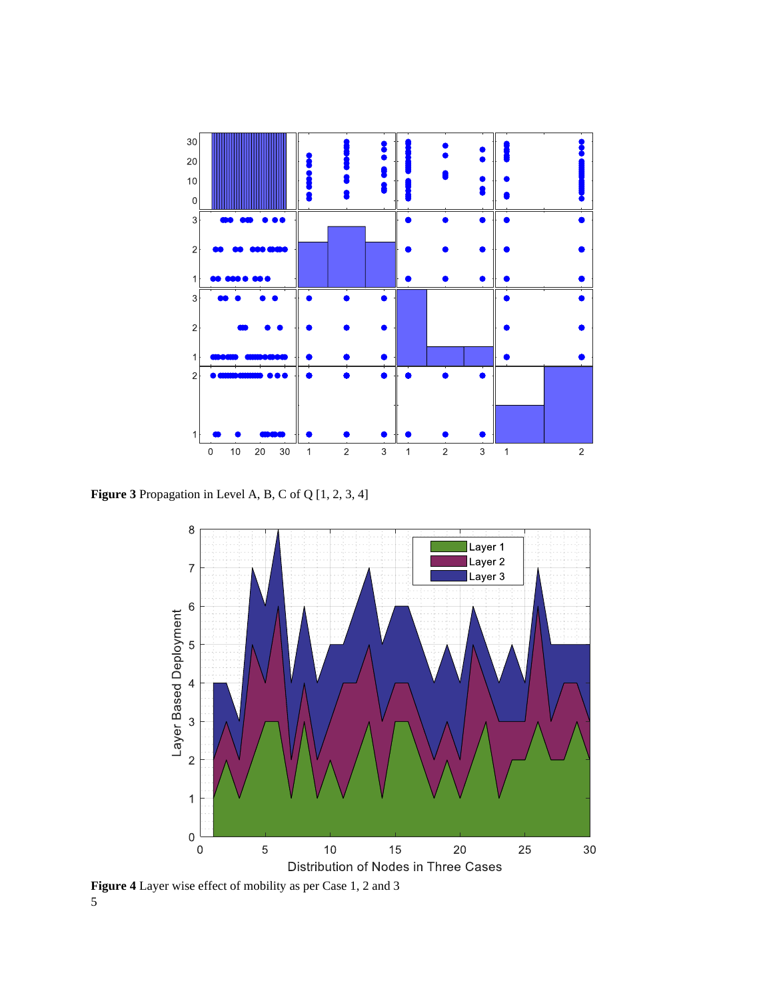

**Figure 3** Propagation in Level A, B, C of Q [1, 2, 3, 4]



5 **Figure 4** Layer wise effect of mobility as per Case 1, 2 and 3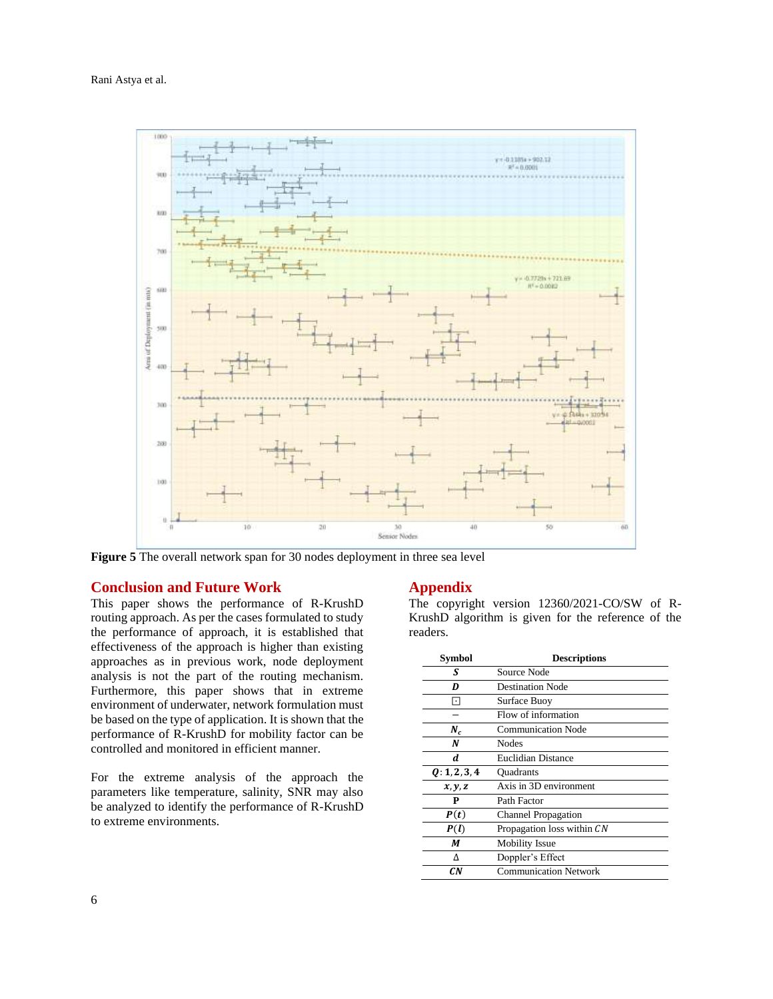#### Rani Astya et al.



**Figure 5** The overall network span for 30 nodes deployment in three sea level

#### **Conclusion and Future Work**

This paper shows the performance of R-KrushD routing approach. As per the cases formulated to study the performance of approach, it is established that effectiveness of the approach is higher than existing approaches as in previous work, node deployment analysis is not the part of the routing mechanism. Furthermore, this paper shows that in extreme environment of underwater, network formulation must be based on the type of application. It is shown that the performance of R-KrushD for mobility factor can be controlled and monitored in efficient manner.

For the extreme analysis of the approach the parameters like temperature, salinity, SNR may also be analyzed to identify the performance of R-KrushD to extreme environments.

### **Appendix**

The copyright version 12360/2021-CO/SW of R-KrushD algorithm is given for the reference of the readers.

| <b>Symbol</b> | <b>Descriptions</b>          |
|---------------|------------------------------|
| S             | Source Node                  |
| D             | <b>Destination Node</b>      |
|               | Surface Buoy                 |
|               | Flow of information          |
| $N_c$         | <b>Communication Node</b>    |
| N             | Nodes                        |
| d             | Euclidian Distance           |
| Q: 1, 2, 3, 4 | <b>Ouadrants</b>             |
| x, y, z       | Axis in 3D environment       |
| P             | Path Factor                  |
| P(t)          | <b>Channel Propagation</b>   |
| P(l)          | Propagation loss within CN   |
| М             | <b>Mobility Issue</b>        |
|               | Doppler's Effect             |
| C.N           | <b>Communication Network</b> |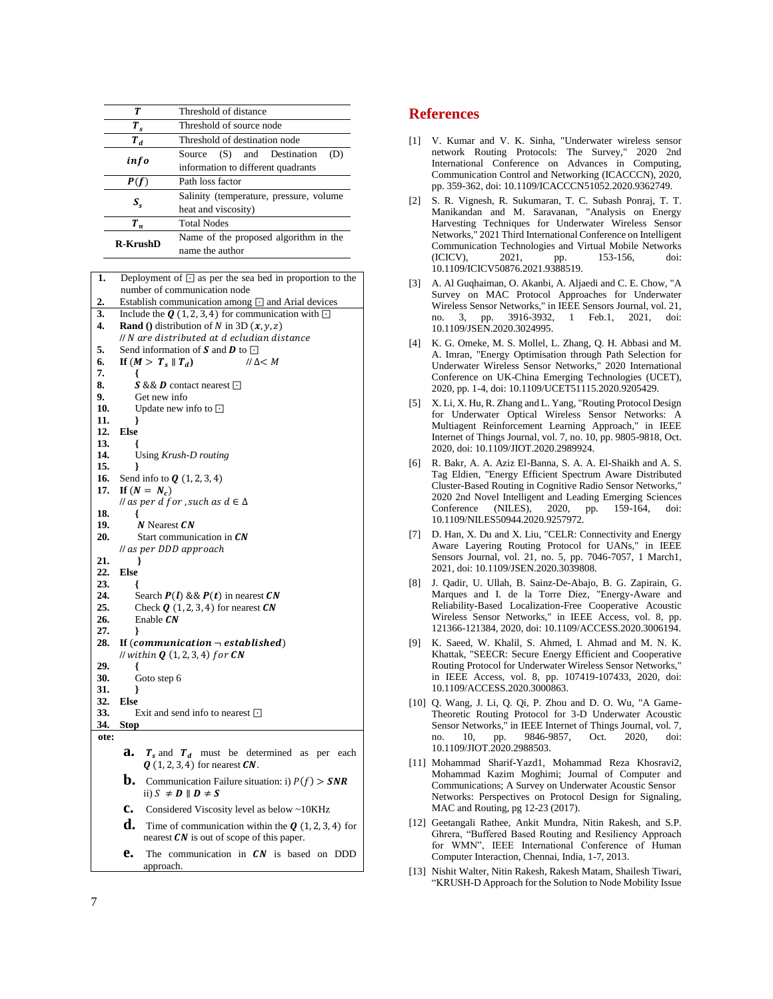| Т               | Threshold of distance                                               |  |
|-----------------|---------------------------------------------------------------------|--|
| $T_{\rm s}$     | Threshold of source node                                            |  |
| $T_{d}$         | Threshold of destination node                                       |  |
| info            | (S) and Destination<br>Source<br>information to different quadrants |  |
| P(f)            | Path loss factor                                                    |  |
| $S_{s}$         | Salinity (temperature, pressure, volume<br>heat and viscosity)      |  |
| $T_n$           | <b>Total Nodes</b>                                                  |  |
| <b>R-KrushD</b> | Name of the proposed algorithm in the<br>name the author            |  |

| 1.   | Deployment of $\Box$ as per the sea bed in proportion to the |
|------|--------------------------------------------------------------|
|      | number of communication node                                 |
| 2.   | Establish communication among $\Box$ and Arial devices       |
| 3.   | Include the $Q(1, 2, 3, 4)$ for communication with $\Box$    |
| 4.   | <b>Rand</b> () distribution of N in 3D $(x, y, z)$           |
|      | // N are distributed at d ecludian distance                  |
| 5.   | Send information of S and D to $\Box$                        |
| 6.   | If $(M > T_s    T_d)$<br>$II \Delta < M$                     |
| 7.   | ł                                                            |
| 8.   | <b>S</b> & <b>D</b> contact nearest $\Box$                   |
| 9.   | Get new info                                                 |
| 10.  | Update new info to $\Box$                                    |
| 11.  |                                                              |
| 12.  | <b>Else</b>                                                  |
| 13.  |                                                              |
| 14.  | Using Krush-D routing                                        |
| 15.  | ł                                                            |
| 16.  | Send info to $Q(1, 2, 3, 4)$                                 |
| 17.  | If $(N = N_c)$                                               |
|      | <i>ll</i> as per d for, such as $d \in \Delta$               |
| 18.  | ł                                                            |
| 19.  | N Nearest CN                                                 |
| 20.  | Start communication in $\mathcal{CN}$                        |
|      | // as per DDD approach                                       |
| 21.  |                                                              |
| 22.  | Else                                                         |
| 23.  |                                                              |
| 24.  | Search $P(l)$ && $P(t)$ in nearest CN                        |
| 25.  | Check $Q(1, 2, 3, 4)$ for nearest $CN$                       |
| 26.  | Enable $CN$                                                  |
| 27.  | ∤                                                            |
| 28.  | If $(communication - established)$                           |
|      | <i>ll</i> within $Q(1,2,3,4)$ for $CN$                       |
| 29.  | ł                                                            |
| 30.  | Goto step 6                                                  |
| 31.  | ł                                                            |
| 32.  | <b>Else</b>                                                  |
| 33.  | Exit and send info to nearest $\Box$                         |
| 34.  | <b>Stop</b>                                                  |
| ote: |                                                              |
|      | a.<br>$T_s$ and $T_d$ must be determined as per each         |
|      | $Q(1, 2, 3, 4)$ for nearest $CN$ .                           |
|      |                                                              |

- **b.** Communication Failure situation: i)  $P(f) > SNR$ ii)  $S \neq D \parallel D \neq S$
- **c.** Considered Viscosity level as below ~10KHz
- **d.** Time of communication within the  $\bf{Q}$  (1, 2, 3, 4) for nearest  $CN$  is out of scope of this paper.
- **e.** The communication in CN is based on DDD approach.

## **References**

- [1] V. Kumar and V. K. Sinha, "Underwater wireless sensor network Routing Protocols: The Survey," 2020 2nd International Conference on Advances in Computing, Communication Control and Networking (ICACCCN), 2020, pp. 359-362, doi: 10.1109/ICACCCN51052.2020.9362749.
- [2] S. R. Vignesh, R. Sukumaran, T. C. Subash Ponraj, T. T. Manikandan and M. Saravanan, "Analysis on Energy Harvesting Techniques for Underwater Wireless Sensor Networks," 2021 Third International Conference on Intelligent Communication Technologies and Virtual Mobile Networks (ICICV), 2021, pp. 153-156, doi: 10.1109/ICICV50876.2021.9388519.
- [3] A. Al Guqhaiman, O. Akanbi, A. Aljaedi and C. E. Chow, "A Survey on MAC Protocol Approaches for Underwater Wireless Sensor Networks," in IEEE Sensors Journal, vol. 21, no. 3, pp. 3916-3932, 1 Feb.1, 2021, doi: 10.1109/JSEN.2020.3024995.
- [4] K. G. Omeke, M. S. Mollel, L. Zhang, Q. H. Abbasi and M. A. Imran, "Energy Optimisation through Path Selection for Underwater Wireless Sensor Networks," 2020 International Conference on UK-China Emerging Technologies (UCET), 2020, pp. 1-4, doi: 10.1109/UCET51115.2020.9205429.
- [5] X. Li, X. Hu, R. Zhang and L. Yang, "Routing Protocol Design for Underwater Optical Wireless Sensor Networks: A Multiagent Reinforcement Learning Approach," in IEEE Internet of Things Journal, vol. 7, no. 10, pp. 9805-9818, Oct. 2020, doi: 10.1109/JIOT.2020.2989924.
- [6] R. Bakr, A. A. Aziz El-Banna, S. A. A. El-Shaikh and A. S. Tag Eldien, "Energy Efficient Spectrum Aware Distributed Cluster-Based Routing in Cognitive Radio Sensor Networks," 2020 2nd Novel Intelligent and Leading Emerging Sciences Conference (NILES), 2020, pp. 159-164, doi: 10.1109/NILES50944.2020.9257972.
- [7] D. Han, X. Du and X. Liu, "CELR: Connectivity and Energy Aware Layering Routing Protocol for UANs," in IEEE Sensors Journal, vol. 21, no. 5, pp. 7046-7057, 1 March1, 2021, doi: 10.1109/JSEN.2020.3039808.
- [8] J. Qadir, U. Ullah, B. Sainz-De-Abajo, B. G. Zapirain, G. Marques and I. de la Torre Diez, "Energy-Aware and Reliability-Based Localization-Free Cooperative Acoustic Wireless Sensor Networks," in IEEE Access, vol. 8, pp. 121366-121384, 2020, doi: 10.1109/ACCESS.2020.3006194.
- [9] K. Saeed, W. Khalil, S. Ahmed, I. Ahmad and M. N. K. Khattak, "SEECR: Secure Energy Efficient and Cooperative Routing Protocol for Underwater Wireless Sensor Networks," in IEEE Access, vol. 8, pp. 107419-107433, 2020, doi: 10.1109/ACCESS.2020.3000863.
- [10] Q. Wang, J. Li, Q. Qi, P. Zhou and D. O. Wu, "A Game-Theoretic Routing Protocol for 3-D Underwater Acoustic Sensor Networks," in IEEE Internet of Things Journal, vol. 7, no. 10, pp. 9846-9857, Oct. 2020, doi: 10.1109/JIOT.2020.2988503.
- [11] Mohammad Sharif-Yazd1, Mohammad Reza Khosravi2, Mohammad Kazim Moghimi; Journal of Computer and Communications; A Survey on Underwater Acoustic Sensor Networks: Perspectives on Protocol Design for Signaling, MAC and Routing, pg 12-23 (2017).
- [12] Geetangali Rathee, Ankit Mundra, Nitin Rakesh, and S.P. Ghrera, "Buffered Based Routing and Resiliency Approach for WMN", IEEE International Conference of Human Computer Interaction, Chennai, India, 1-7, 2013.
- [13] Nishit Walter, Nitin Rakesh, Rakesh Matam, Shailesh Tiwari, "KRUSH-D Approach for the Solution to Node Mobility Issue